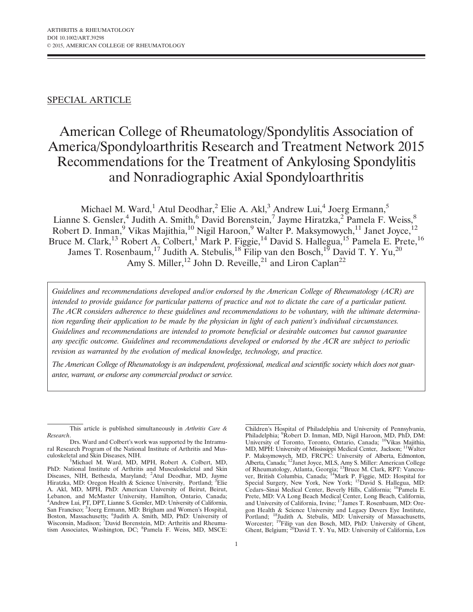# SPECIAL ARTICLE

# American College of Rheumatology/Spondylitis Association of America/Spondyloarthritis Research and Treatment Network 2015 Recommendations for the Treatment of Ankylosing Spondylitis and Nonradiographic Axial Spondyloarthritis

Michael M. Ward,<sup>1</sup> Atul Deodhar,<sup>2</sup> Elie A. Akl,<sup>3</sup> Andrew Lui,<sup>4</sup> Joerg Ermann,<sup>5</sup> Lianne S. Gensler,<sup>4</sup> Judith A. Smith,<sup>6</sup> David Borenstein,<sup>7</sup> Jayme Hiratzka,<sup>2</sup> Pamela F. Weiss,<sup>8</sup> Robert D. Inman,<sup>9</sup> Vikas Majithia,<sup>10</sup> Nigil Haroon,<sup>9</sup> Walter P. Maksymowych,<sup>11</sup> Janet Joyce,<sup>12</sup> Bruce M. Clark,<sup>13</sup> Robert A. Colbert,<sup>1</sup> Mark P. Figgie,<sup>14</sup> David S. Hallegua,<sup>15</sup> Pamela E. Prete,<sup>16</sup> James T. Rosenbaum,<sup>17</sup> Judith A. Stebulis,<sup>18</sup> Filip van den Bosch,<sup>19</sup> David T. Y. Yu,<sup>20</sup> Amy S. Miller,<sup>12</sup> John D. Reveille,<sup>21</sup> and Liron Caplan<sup>22</sup>

Guidelines and recommendations developed and/or endorsed by the American College of Rheumatology (ACR) are intended to provide guidance for particular patterns of practice and not to dictate the care of a particular patient. The ACR considers adherence to these guidelines and recommendations to be voluntary, with the ultimate determination regarding their application to be made by the physician in light of each patient's individual circumstances. Guidelines and recommendations are intended to promote beneficial or desirable outcomes but cannot guarantee any specific outcome. Guidelines and recommendations developed or endorsed by the ACR are subject to periodic revision as warranted by the evolution of medical knowledge, technology, and practice.

The American College of Rheumatology is an independent, professional, medical and scientific society which does not guarantee, warrant, or endorse any commercial product or service.

This article is published simultaneously in Arthritis Care & Research.

Drs. Ward and Colbert's work was supported by the Intramural Research Program of the National Institute of Arthritis and Musculoskeletal and Skin Diseases, NIH. <sup>1</sup>

<sup>&</sup>lt;sup>1</sup>Michael M. Ward, MD, MPH, Robert A. Colbert, MD, PhD: National Institute of Arthritis and Musculoskeletal and Skin Diseases, NIH, Bethesda, Maryland; <sup>2</sup>Atul Deodhar, MD, Jayme Hiratzka, MD: Oregon Health & Science University, Portland; <sup>3</sup>Elie A. Akl, MD, MPH, PhD: American University of Beirut, Beirut, Lebanon, and McMaster University, Hamilton, Ontario, Canada; 4 Andrew Lui, PT, DPT, Lianne S. Gensler, MD: University of California, San Francisco; <sup>5</sup>Joerg Ermann, MD: Brigham and Women's Hospital, Boston, Massachusetts; <sup>6</sup>Judith A. Smith, MD, PhD: University of Wisconsin, Madison; <sup>7</sup>David Borenstein, MD: Arthritis and Rheuma-<br>tism Associates, Washington, DC; <sup>8</sup>Pamela F. Weiss, MD, MSCE:

Children's Hospital of Philadelphia and University of Pennsylvania, Philadelphia; <sup>9</sup>Robert D. Inman, MD, Nigil Haroon, MD, PhD, DM:<br>University of Toronto, Toronto, Ontario, Canada; <sup>10</sup>Vikas Majithia, MD, MPH: University of Mississippi Medical Center, Jackson; <sup>11</sup>Walter P. Maksymowych, MD, FRCPC: University of Alberta, Edmonton, Alberta, Canada; <sup>12</sup>Janet Joyce, MLS, Amy S. Miller: American College of Rheumatology, Atlanta, Georgia; <sup>13</sup>Bruce M. Clark, RPT: Vancouver, British Columbia, Canada; <sup>14</sup>Mark P. Figgie, MD: Hospital for Special Surgery, New York, New York; <sup>15</sup>David S. Hallegua, MD: Cedars–Sinai Medical Center, Beverly Hills, California; 16Pamela E. Prete, MD: VA Long Beach Medical Center, Long Beach, California, and University of California, Irvine; <sup>17</sup>James T. Rosenbaum, MD: Oregon Health & Science University and Legacy Devers Eye Institute, Portland; 18Judith A. Stebulis, MD: University of Massachusetts, Worcester; 19Filip van den Bosch, MD, PhD: University of Ghent, Ghent, Belgium; <sup>20</sup>David T. Y. Yu, MD: University of California, Los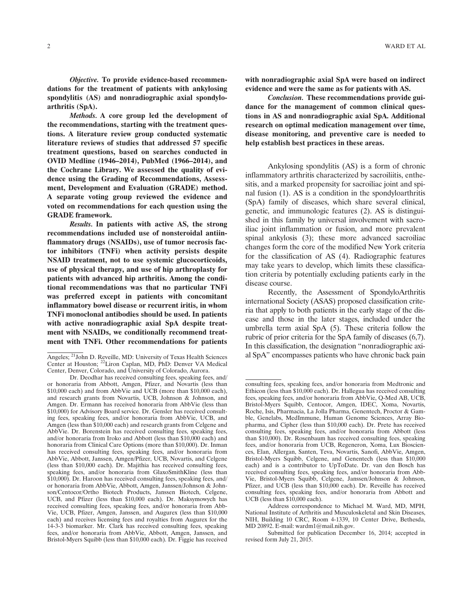Objective. To provide evidence-based recommendations for the treatment of patients with ankylosing spondylitis (AS) and nonradiographic axial spondyloarthritis (SpA).

Methods. A core group led the development of the recommendations, starting with the treatment questions. A literature review group conducted systematic literature reviews of studies that addressed 57 specific treatment questions, based on searches conducted in OVID Medline (1946–2014), PubMed (1966–2014), and the Cochrane Library. We assessed the quality of evidence using the Grading of Recommendations, Assessment, Development and Evaluation (GRADE) method. A separate voting group reviewed the evidence and voted on recommendations for each question using the GRADE framework.

Results. In patients with active AS, the strong recommendations included use of nonsteroidal antiinflammatory drugs (NSAIDs), use of tumor necrosis factor inhibitors (TNFi) when activity persists despite NSAID treatment, not to use systemic glucocorticoids, use of physical therapy, and use of hip arthroplasty for patients with advanced hip arthritis. Among the conditional recommendations was that no particular TNFi was preferred except in patients with concomitant inflammatory bowel disease or recurrent iritis, in whom TNFi monoclonal antibodies should be used. In patients with active nonradiographic axial SpA despite treatment with NSAIDs, we conditionally recommend treatment with TNFi. Other recommendations for patients

with nonradiographic axial SpA were based on indirect evidence and were the same as for patients with AS.

Conclusion. These recommendations provide guidance for the management of common clinical questions in AS and nonradiographic axial SpA. Additional research on optimal medication management over time, disease monitoring, and preventive care is needed to help establish best practices in these areas.

Ankylosing spondylitis (AS) is a form of chronic inflammatory arthritis characterized by sacroiliitis, enthesitis, and a marked propensity for sacroiliac joint and spinal fusion (1). AS is a condition in the spondyloarthritis (SpA) family of diseases, which share several clinical, genetic, and immunologic features (2). AS is distinguished in this family by universal involvement with sacroiliac joint inflammation or fusion, and more prevalent spinal ankylosis (3); these more advanced sacroiliac changes form the core of the modified New York criteria for the classification of AS (4). Radiographic features may take years to develop, which limits these classification criteria by potentially excluding patients early in the disease course.

Recently, the Assessment of SpondyloArthritis international Society (ASAS) proposed classification criteria that apply to both patients in the early stage of the disease and those in the later stages, included under the umbrella term axial SpA (5). These criteria follow the rubric of prior criteria for the SpA family of diseases (6,7). In this classification, the designation "nonradiographic axi-Angeles; <sup>21</sup>John D. Reveille, MD: University of Texas Health Sciences al SpA" encompasses patients who have chronic back pain

Center at Houston; 22Liron Caplan, MD, PhD: Denver VA Medical Center, Denver, Colorado, and University of Colorado, Aurora.

Dr. Deodhar has received consulting fees, speaking fees, and/ or honoraria from Abbott, Amgen, Pfizer, and Novartis (less than \$10,000 each) and from AbbVie and UCB (more than \$10,000 each), and research grants from Novartis, UCB, Johnson & Johnson, and Amgen. Dr. Ermann has received honoraria from AbbVie (less than \$10,000) for Advisory Board service. Dr. Gensler has received consulting fees, speaking fees, and/or honoraria from AbbVie, UCB, and Amgen (less than \$10,000 each) and research grants from Celgene and AbbVie. Dr. Borenstein has received consulting fees, speaking fees, and/or honoraria from Iroko and Abbott (less than \$10,000 each) and honoraria from Clinical Care Options (more than \$10,000). Dr. Inman has received consulting fees, speaking fees, and/or honoraria from AbbVie, Abbott, Janssen, Amgen/Pfizer, UCB, Novartis, and Celgene (less than \$10,000 each). Dr. Majithia has received consulting fees, speaking fees, and/or honoraria from GlaxoSmithKline (less than \$10,000). Dr. Haroon has received consulting fees, speaking fees, and/ or honoraria from AbbVie, Abbott, Amgen, Janssen/Johnson & Johnson/Centocor/Ortho Biotech Products, Janssen Biotech, Celgene, UCB, and Pfizer (less than \$10,000 each). Dr. Maksymowych has received consulting fees, speaking fees, and/or honoraria from Abb-Vie, UCB, Pfizer, Amgen, Janssen, and Augurex (less than \$10,000 each) and receives licensing fees and royalties from Augurex for the 14-3-3 biomarker. Mr. Clark has received consulting fees, speaking fees, and/or honoraria from AbbVie, Abbott, Amgen, Janssen, and Bristol-Myers Squibb (less than \$10,000 each). Dr. Figgie has received

consulting fees, speaking fees, and/or honoraria from Medtronic and Ethicon (less than \$10,000 each). Dr. Hallegua has received consulting fees, speaking fees, and/or honoraria from AbbVie, Q-Med AB, UCB, Bristol-Myers Squibb, Centocor, Amgen, IDEC, Xoma, Novartis, Roche, Isis, Pharmacia, La Jolla Pharma, Genentech, Proctor & Gamble, Genelabs, MedImmune, Human Genome Sciences, Array Biopharma, and Cipher (less than \$10,000 each). Dr. Prete has received consulting fees, speaking fees, and/or honoraria from Abbott (less than \$10,000). Dr. Rosenbaum has received consulting fees, speaking fees, and/or honoraria from UCB, Regeneron, Xoma, Lux Biosciences, Elan, Allergan, Santen, Teva, Novartis, Sanofi, AbbVie, Amgen, Bristol-Myers Squibb, Celgene, and Genentech (less than \$10,000 each) and is a contributor to UpToDate. Dr. van den Bosch has received consulting fees, speaking fees, and/or honoraria from Abb-Vie, Bristol-Myers Squibb, Celgene, Janssen/Johnson & Johnson, Pfizer, and UCB (less than \$10,000 each). Dr. Reveille has received consulting fees, speaking fees, and/or honoraria from Abbott and UCB (less than \$10,000 each).

Address correspondence to Michael M. Ward, MD, MPH, National Institute of Arthritis and Musculoskeletal and Skin Diseases, NIH, Building 10 CRC, Room 4-1339, 10 Center Drive, Bethesda, MD 20892. E-mail: wardm1@mail.nih.gov.

Submitted for publication December 16, 2014; accepted in revised form July 21, 2015.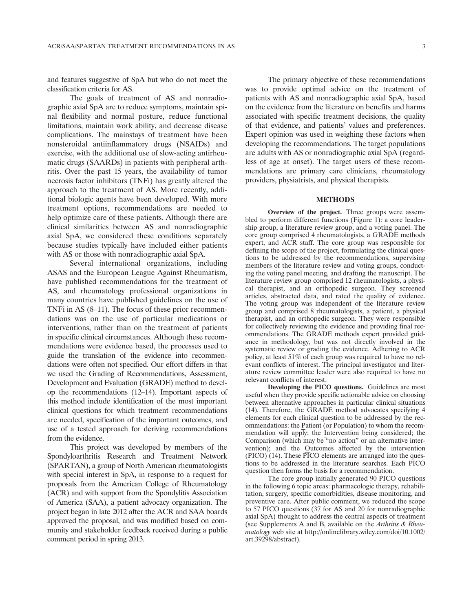and features suggestive of SpA but who do not meet the classification criteria for AS.

The goals of treatment of AS and nonradiographic axial SpA are to reduce symptoms, maintain spinal flexibility and normal posture, reduce functional limitations, maintain work ability, and decrease disease complications. The mainstays of treatment have been nonsteroidal antiinflammatory drugs (NSAIDs) and exercise, with the additional use of slow-acting antirheumatic drugs (SAARDs) in patients with peripheral arthritis. Over the past 15 years, the availability of tumor necrosis factor inhibitors (TNFi) has greatly altered the approach to the treatment of AS. More recently, additional biologic agents have been developed. With more treatment options, recommendations are needed to help optimize care of these patients. Although there are clinical similarities between AS and nonradiographic axial SpA, we considered these conditions separately because studies typically have included either patients with AS or those with nonradiographic axial SpA.

Several international organizations, including ASAS and the European League Against Rheumatism, have published recommendations for the treatment of AS, and rheumatology professional organizations in many countries have published guidelines on the use of TNFi in AS (8–11). The focus of these prior recommendations was on the use of particular medications or interventions, rather than on the treatment of patients in specific clinical circumstances. Although these recommendations were evidence based, the processes used to guide the translation of the evidence into recommendations were often not specified. Our effort differs in that we used the Grading of Recommendations, Assessment, Development and Evaluation (GRADE) method to develop the recommendations (12–14). Important aspects of this method include identification of the most important clinical questions for which treatment recommendations are needed, specification of the important outcomes, and use of a tested approach for deriving recommendations from the evidence.

This project was developed by members of the Spondyloarthritis Research and Treatment Network (SPARTAN), a group of North American rheumatologists with special interest in SpA, in response to a request for proposals from the American College of Rheumatology (ACR) and with support from the Spondylitis Association of America (SAA), a patient advocacy organization. The project began in late 2012 after the ACR and SAA boards approved the proposal, and was modified based on community and stakeholder feedback received during a public comment period in spring 2013.

The primary objective of these recommendations was to provide optimal advice on the treatment of patients with AS and nonradiographic axial SpA, based on the evidence from the literature on benefits and harms associated with specific treatment decisions, the quality of that evidence, and patients' values and preferences. Expert opinion was used in weighing these factors when developing the recommendations. The target populations are adults with AS or nonradiographic axial SpA (regardless of age at onset). The target users of these recommendations are primary care clinicians, rheumatology providers, physiatrists, and physical therapists.

#### METHODS

Overview of the project. Three groups were assembled to perform different functions (Figure 1): a core leadership group, a literature review group, and a voting panel. The core group comprised 4 rheumatologists, a GRADE methods expert, and ACR staff. The core group was responsible for defining the scope of the project, formulating the clinical questions to be addressed by the recommendations, supervising members of the literature review and voting groups, conducting the voting panel meeting, and drafting the manuscript. The literature review group comprised 12 rheumatologists, a physical therapist, and an orthopedic surgeon. They screened articles, abstracted data, and rated the quality of evidence. The voting group was independent of the literature review group and comprised 8 rheumatologists, a patient, a physical therapist, and an orthopedic surgeon. They were responsible for collectively reviewing the evidence and providing final recommendations. The GRADE methods expert provided guidance in methodology, but was not directly involved in the systematic review or grading the evidence. Adhering to ACR policy, at least 51% of each group was required to have no relevant conflicts of interest. The principal investigator and literature review committee leader were also required to have no relevant conflicts of interest.

Developing the PICO questions. Guidelines are most useful when they provide specific actionable advice on choosing between alternative approaches in particular clinical situations (14). Therefore, the GRADE method advocates specifying 4 elements for each clinical question to be addressed by the recommendations: the Patient (or Population) to whom the recommendation will apply; the Intervention being considered; the Comparison (which may be "no action" or an alternative intervention); and the Outcomes affected by the intervention  $(PICO)$  (14). These PICO elements are arranged into the questions to be addressed in the literature searches. Each PICO question then forms the basis for a recommendation.

The core group initially generated 90 PICO questions in the following 6 topic areas: pharmacologic therapy, rehabilitation, surgery, specific comorbidities, disease monitoring, and preventive care. After public comment, we reduced the scope to 57 PICO questions (37 for AS and 20 for nonradiographic axial SpA) thought to address the central aspects of treatment (see Supplements A and B, available on the Arthritis & Rheumatology web site at http://onlinelibrary.wiley.com/doi/10.1002/ art.39298/abstract).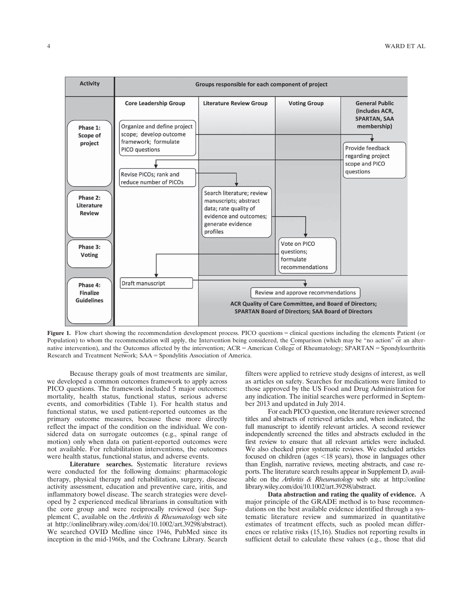

Figure 1. Flow chart showing the recommendation development process. PICO questions = clinical questions including the elements Patient (or Population) to whom the recommendation will apply, the Intervention being considered, the Comparison (which may be "no action" or an alternative intervention), and the Outcomes affected by the intervention; ACR = American College of Rheumatology; SPARTAN = Spondyloarthritis Research and Treatment Network;  $SAA =$ Spondylitis Association of America.

Because therapy goals of most treatments are similar, we developed a common outcomes framework to apply across PICO questions. The framework included 5 major outcomes: mortality, health status, functional status, serious adverse events, and comorbidities (Table 1). For health status and functional status, we used patient-reported outcomes as the primary outcome measures, because these more directly reflect the impact of the condition on the individual. We considered data on surrogate outcomes (e.g., spinal range of motion) only when data on patient-reported outcomes were not available. For rehabilitation interventions, the outcomes were health status, functional status, and adverse events.

Literature searches. Systematic literature reviews were conducted for the following domains: pharmacologic therapy, physical therapy and rehabilitation, surgery, disease activity assessment, education and preventive care, iritis, and inflammatory bowel disease. The search strategies were developed by 2 experienced medical librarians in consultation with the core group and were reciprocally reviewed (see Supplement C, available on the Arthritis & Rheumatology web site at http://onlinelibrary.wiley.com/doi/10.1002/art.39298/abstract). We searched OVID Medline since 1946, PubMed since its inception in the mid-1960s, and the Cochrane Library. Search filters were applied to retrieve study designs of interest, as well as articles on safety. Searches for medications were limited to those approved by the US Food and Drug Administration for any indication. The initial searches were performed in September 2013 and updated in July 2014.

For each PICO question, one literature reviewer screened titles and abstracts of retrieved articles and, when indicated, the full manuscript to identify relevant articles. A second reviewer independently screened the titles and abstracts excluded in the first review to ensure that all relevant articles were included. We also checked prior systematic reviews. We excluded articles focused on children (ages  $\leq$ 18 years), those in languages other than English, narrative reviews, meeting abstracts, and case reports. The literature search results appear in Supplement D, available on the Arthritis  $\&$  Rheumatology web site at http://online library.wiley.com/doi/10.1002/art.39298/abstract.

Data abstraction and rating the quality of evidence. A major principle of the GRADE method is to base recommendations on the best available evidence identified through a systematic literature review and summarized in quantitative estimates of treatment effects, such as pooled mean differences or relative risks (15,16). Studies not reporting results in sufficient detail to calculate these values (e.g., those that did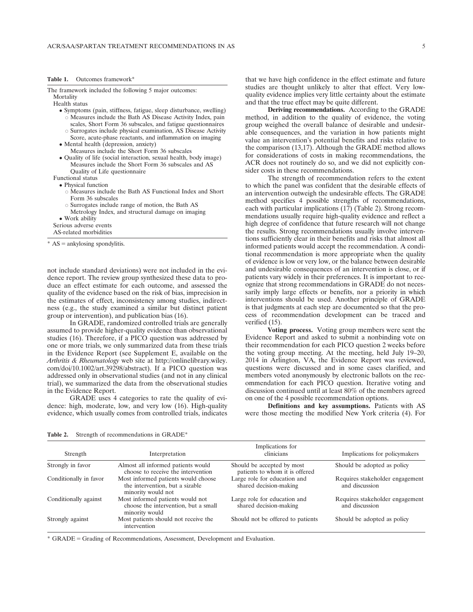#### Table 1. Outcomes framework\*

The framework included the following 5 major outcomes:

**Mortality** 

- Health status
	- Symptoms (pain, stiffness, fatigue, sleep disturbance, swelling) - Measures include the Bath AS Disease Activity Index, pain
	- scales, Short Form 36 subscales, and fatigue questionnaires - Surrogates include physical examination, AS Disease Activity Score, acute-phase reactants, and inflammation on imaging
	- Mental health (depression, anxiety) Measures include the Short Form 36 subscales
	- Quality of life (social interaction, sexual health, body image) Measures include the Short Form 36 subscales and AS Quality of Life questionnaire

Functional status

• Physical function

- Measures include the Bath AS Functional Index and Short Form 36 subscales
- Surrogates include range of motion, the Bath AS
- Metrology Index, and structural damage on imaging
- Work ability

• work ability<br>Serious adverse events

AS-related morbidities

 $* AS = ankvlosing spondvlitis.$ 

not include standard deviations) were not included in the evidence report. The review group synthesized these data to produce an effect estimate for each outcome, and assessed the quality of the evidence based on the risk of bias, imprecision in the estimates of effect, inconsistency among studies, indirectness (e.g., the study examined a similar but distinct patient group or intervention), and publication bias (16).

In GRADE, randomized controlled trials are generally assumed to provide higher-quality evidence than observational studies (16). Therefore, if a PICO question was addressed by one or more trials, we only summarized data from these trials in the Evidence Report (see Supplement E, available on the Arthritis & Rheumatology web site at http://onlinelibrary.wiley. com/doi/10.1002/art.39298/abstract). If a PICO question was addressed only in observational studies (and not in any clinical trial), we summarized the data from the observational studies in the Evidence Report.

GRADE uses 4 categories to rate the quality of evidence: high, moderate, low, and very low (16). High-quality evidence, which usually comes from controlled trials, indicates that we have high confidence in the effect estimate and future studies are thought unlikely to alter that effect. Very lowquality evidence implies very little certainty about the estimate and that the true effect may be quite different.

Deriving recommendations. According to the GRADE method, in addition to the quality of evidence, the voting group weighed the overall balance of desirable and undesirable consequences, and the variation in how patients might value an intervention's potential benefits and risks relative to the comparison (13,17). Although the GRADE method allows for considerations of costs in making recommendations, the ACR does not routinely do so, and we did not explicitly consider costs in these recommendations.

The strength of recommendation refers to the extent to which the panel was confident that the desirable effects of an intervention outweigh the undesirable effects. The GRADE method specifies 4 possible strengths of recommendations, each with particular implications (17) (Table 2). Strong recommendations usually require high-quality evidence and reflect a high degree of confidence that future research will not change the results. Strong recommendations usually involve interventions sufficiently clear in their benefits and risks that almost all informed patients would accept the recommendation. A conditional recommendation is more appropriate when the quality of evidence is low or very low, or the balance between desirable and undesirable consequences of an intervention is close, or if patients vary widely in their preferences. It is important to recognize that strong recommendations in GRADE do not necessarily imply large effects or benefits, nor a priority in which interventions should be used. Another principle of GRADE is that judgments at each step are documented so that the process of recommendation development can be traced and verified (15).

Voting process. Voting group members were sent the Evidence Report and asked to submit a nonbinding vote on their recommendation for each PICO question 2 weeks before the voting group meeting. At the meeting, held July 19–20, 2014 in Arlington, VA, the Evidence Report was reviewed, questions were discussed and in some cases clarified, and members voted anonymously by electronic ballots on the recommendation for each PICO question. Iterative voting and discussion continued until at least 80% of the members agreed on one of the 4 possible recommendation options.

Definitions and key assumptions. Patients with AS were those meeting the modified New York criteria (4). For

Table 2. Strength of recommendations in GRADE\*

| Strength               | Interpretation                                                                               | Implications for<br>clinicians                               | Implications for policymakers                     |
|------------------------|----------------------------------------------------------------------------------------------|--------------------------------------------------------------|---------------------------------------------------|
| Strongly in favor      | Almost all informed patients would<br>choose to receive the intervention                     | Should be accepted by most<br>patients to whom it is offered | Should be adopted as policy                       |
| Conditionally in favor | Most informed patients would choose<br>the intervention, but a sizable<br>minority would not | Large role for education and<br>shared decision-making       | Requires stakeholder engagement<br>and discussion |
| Conditionally against  | Most informed patients would not<br>choose the intervention, but a small<br>minority would   | Large role for education and<br>shared decision-making       | Requires stakeholder engagement<br>and discussion |
| Strongly against       | Most patients should not receive the<br>intervention                                         | Should not be offered to patients                            | Should be adopted as policy                       |

\* GRADE = Grading of Recommendations, Assessment, Development and Evaluation.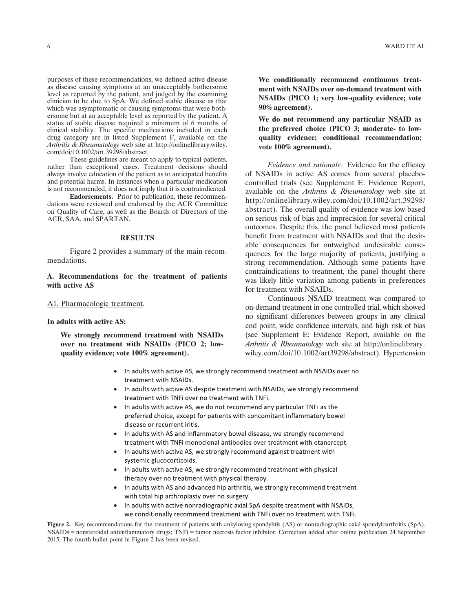purposes of these recommendations, we defined active disease as disease causing symptoms at an unacceptably bothersome level as reported by the patient, and judged by the examining clinician to be due to SpA. We defined stable disease as that which was asymptomatic or causing symptoms that were bothersome but at an acceptable level as reported by the patient. A status of stable disease required a minimum of 6 months of clinical stability. The specific medications included in each drug category are in listed Supplement F, available on the Arthritis & Rheumatology web site at http://onlinelibrary.wiley. com/doi/10.1002/art.39298/abstract.

These guidelines are meant to apply to typical patients, rather than exceptional cases. Treatment decisions should always involve education of the patient as to anticipated benefits and potential harms. In instances when a particular medication is not recommended, it does not imply that it is contraindicated.

Endorsements. Prior to publication, these recommendations were reviewed and endorsed by the ACR Committee on Quality of Care, as well as the Boards of Directors of the ACR, SAA, and SPARTAN.

#### RESULTS

Figure 2 provides a summary of the main recommendations.

A. Recommendations for the treatment of patients with active AS

#### A1. Pharmacologic treatment.

#### In adults with active AS:

We strongly recommend treatment with NSAIDs over no treatment with NSAIDs (PICO 2; lowquality evidence; vote 100% agreement).

We conditionally recommend continuous treatment with NSAIDs over on-demand treatment with NSAIDs (PICO 1; very low-quality evidence; vote 90% agreement).

We do not recommend any particular NSAID as the preferred choice (PICO 3; moderate- to lowquality evidence; conditional recommendation; vote 100% agreement).

Evidence and rationale. Evidence for the efficacy of NSAIDs in active AS comes from several placebocontrolled trials (see Supplement E: Evidence Report, available on the *Arthritis* & Rheumatology web site at http://onlinelibrary.wiley.com/doi/10.1002/art.39298/ abstract). The overall quality of evidence was low based on serious risk of bias and imprecision for several critical outcomes. Despite this, the panel believed most patients benefit from treatment with NSAIDs and that the desirable consequences far outweighed undesirable consequences for the large majority of patients, justifying a strong recommendation. Although some patients have contraindications to treatment, the panel thought there was likely little variation among patients in preferences for treatment with NSAIDs.

Continuous NSAID treatment was compared to on-demand treatment in one controlled trial, which showed no significant differences between groups in any clinical end point, wide confidence intervals, and high risk of bias (see Supplement E: Evidence Report, available on the Arthritis & Rheumatology web site at http://onlinelibrary. wiley.com/doi/10.1002/art39298/abstract). Hypertension

- . In adults with active AS, we strongly recommend treatment with NSAIDs over no treatment with NSAIDs.
- In adults with active AS despite treatment with NSAIDs, we strongly recommend treatment with TNFi over no treatment with TNFi.
- In adults with active AS, we do not recommend any particular TNFi as the preferred choice, except for patients with concomitant inflammatory bowel disease or recurrent iritis.
- In adults with AS and inflammatory bowel disease, we strongly recommend treatment with TNFi monoclonal antibodies over treatment with etanercept.
- In adults with active AS, we strongly recommend against treatment with systemic glucocorticoids.
- In adults with active AS, we strongly recommend treatment with physical therapy over no treatment with physical therapy.
- In adults with AS and advanced hip arthritis, we strongly recommend treatment with total hip arthroplasty over no surgery.
- In adults with active nonradiographic axial SpA despite treatment with NSAIDs, we conditionally recommend treatment with TNFi over no treatment with TNFi.

Figure 2. Key recommendations for the treatment of patients with ankylosing spondylitis (AS) or nonradiographic axial spondyloarthritis (SpA). NSAIDs = nonsteroidal antiinflammatory drugs; TNFi = tumor necrosis factor inhibitor. Correction added after online publication 24 September 2015: The fourth bullet point in Figure 2 has been revised.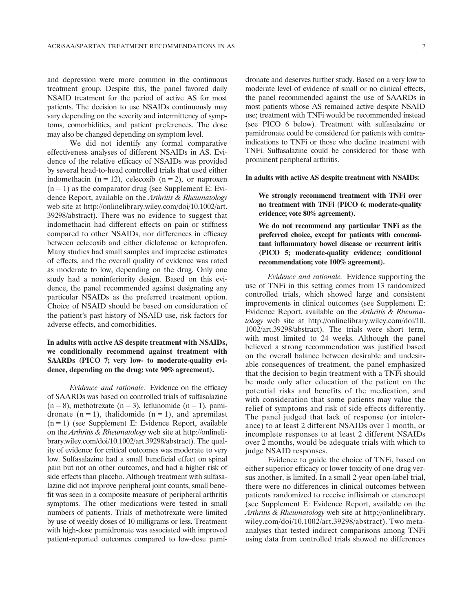and depression were more common in the continuous treatment group. Despite this, the panel favored daily NSAID treatment for the period of active AS for most patients. The decision to use NSAIDs continuously may vary depending on the severity and intermittency of symptoms, comorbidities, and patient preferences. The dose may also be changed depending on symptom level.

We did not identify any formal comparative effectiveness analyses of different NSAIDs in AS. Evidence of the relative efficacy of NSAIDs was provided by several head-to-head controlled trials that used either indomethacin  $(n = 12)$ , celecoxib  $(n = 2)$ , or naproxen  $(n = 1)$  as the comparator drug (see Supplement E: Evidence Report, available on the Arthritis & Rheumatology web site at http://onlinelibrary.wiley.com/doi/10.1002/art. 39298/abstract). There was no evidence to suggest that indomethacin had different effects on pain or stiffness compared to other NSAIDs, nor differences in efficacy between celecoxib and either diclofenac or ketoprofen. Many studies had small samples and imprecise estimates of effects, and the overall quality of evidence was rated as moderate to low, depending on the drug. Only one study had a noninferiority design. Based on this evidence, the panel recommended against designating any particular NSAIDs as the preferred treatment option. Choice of NSAID should be based on consideration of the patient's past history of NSAID use, risk factors for adverse effects, and comorbidities.

## In adults with active AS despite treatment with NSAIDs, we conditionally recommend against treatment with SAARDs (PICO 7; very low- to moderate-quality evidence, depending on the drug; vote 90% agreement).

Evidence and rationale. Evidence on the efficacy of SAARDs was based on controlled trials of sulfasalazine  $(n = 8)$ , methotrexate  $(n = 3)$ , leflunomide  $(n = 1)$ , pamidronate  $(n = 1)$ , thalidomide  $(n = 1)$ , and apremilast  $(n = 1)$  (see Supplement E: Evidence Report, available on the Arthritis & Rheumatology web site at http://onlinelibrary.wiley.com/doi/10.1002/art.39298/abstract). The quality of evidence for critical outcomes was moderate to very low. Sulfasalazine had a small beneficial effect on spinal pain but not on other outcomes, and had a higher risk of side effects than placebo. Although treatment with sulfasalazine did not improve peripheral joint counts, small benefit was seen in a composite measure of peripheral arthritis symptoms. The other medications were tested in small numbers of patients. Trials of methotrexate were limited by use of weekly doses of 10 milligrams or less. Treatment with high-dose pamidronate was associated with improved patient-reported outcomes compared to low-dose pami-

dronate and deserves further study. Based on a very low to moderate level of evidence of small or no clinical effects, the panel recommended against the use of SAARDs in most patients whose AS remained active despite NSAID use; treatment with TNFi would be recommended instead (see PICO 6 below). Treatment with sulfasalazine or pamidronate could be considered for patients with contraindications to TNFi or those who decline treatment with TNFi. Sulfasalazine could be considered for those with prominent peripheral arthritis.

#### In adults with active AS despite treatment with NSAIDs:

We strongly recommend treatment with TNFi over no treatment with TNFi (PICO 6; moderate-quality evidence; vote 80% agreement).

We do not recommend any particular TNFi as the preferred choice, except for patients with concomitant inflammatory bowel disease or recurrent iritis (PICO 5; moderate-quality evidence; conditional recommendation; vote 100% agreement).

Evidence and rationale. Evidence supporting the use of TNFi in this setting comes from 13 randomized controlled trials, which showed large and consistent improvements in clinical outcomes (see Supplement E: Evidence Report, available on the Arthritis & Rheumatology web site at http://onlinelibrary.wiley.com/doi/10. 1002/art.39298/abstract). The trials were short term, with most limited to 24 weeks. Although the panel believed a strong recommendation was justified based on the overall balance between desirable and undesirable consequences of treatment, the panel emphasized that the decision to begin treatment with a TNFi should be made only after education of the patient on the potential risks and benefits of the medication, and with consideration that some patients may value the relief of symptoms and risk of side effects differently. The panel judged that lack of response (or intolerance) to at least 2 different NSAIDs over 1 month, or incomplete responses to at least 2 different NSAIDs over 2 months, would be adequate trials with which to judge NSAID responses.

Evidence to guide the choice of TNFi, based on either superior efficacy or lower toxicity of one drug versus another, is limited. In a small 2-year open-label trial, there were no differences in clinical outcomes between patients randomized to receive infliximab or etanercept (see Supplement E: Evidence Report, available on the Arthritis & Rheumatology web site at http://onlinelibrary. wiley.com/doi/10.1002/art.39298/abstract). Two metaanalyses that tested indirect comparisons among TNFi using data from controlled trials showed no differences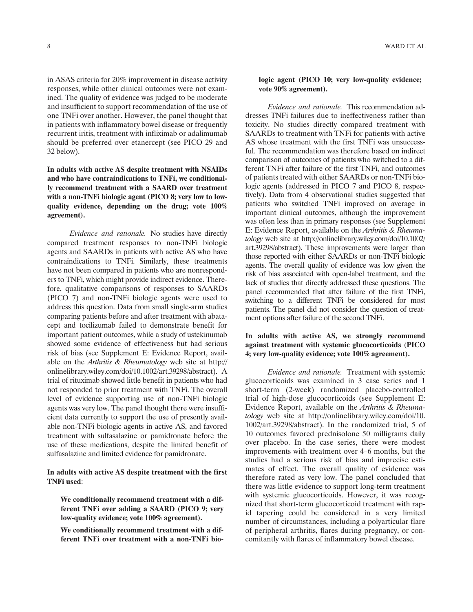in ASAS criteria for 20% improvement in disease activity responses, while other clinical outcomes were not examined. The quality of evidence was judged to be moderate and insufficient to support recommendation of the use of one TNFi over another. However, the panel thought that in patients with inflammatory bowel disease or frequently recurrent iritis, treatment with infliximab or adalimumab should be preferred over etanercept (see PICO 29 and 32 below).

In adults with active AS despite treatment with NSAIDs and who have contraindications to TNFi, we conditionally recommend treatment with a SAARD over treatment with a non-TNFi biologic agent (PICO 8; very low to lowquality evidence, depending on the drug; vote 100% agreement).

Evidence and rationale. No studies have directly compared treatment responses to non-TNFi biologic agents and SAARDs in patients with active AS who have contraindications to TNFi. Similarly, these treatments have not been compared in patients who are nonresponders to TNFi, which might provide indirect evidence. Therefore, qualitative comparisons of responses to SAARDs (PICO 7) and non-TNFi biologic agents were used to address this question. Data from small single-arm studies comparing patients before and after treatment with abatacept and tocilizumab failed to demonstrate benefit for important patient outcomes, while a study of ustekinumab showed some evidence of effectiveness but had serious risk of bias (see Supplement E: Evidence Report, available on the Arthritis & Rheumatology web site at http:// onlinelibrary.wiley.com/doi/10.1002/art.39298/abstract). A trial of rituximab showed little benefit in patients who had not responded to prior treatment with TNFi. The overall level of evidence supporting use of non-TNFi biologic agents was very low. The panel thought there were insufficient data currently to support the use of presently available non-TNFi biologic agents in active AS, and favored treatment with sulfasalazine or pamidronate before the use of these medications, despite the limited benefit of sulfasalazine and limited evidence for pamidronate.

## In adults with active AS despite treatment with the first TNFi used:

We conditionally recommend treatment with a different TNFi over adding a SAARD (PICO 9; very low-quality evidence; vote 100% agreement).

We conditionally recommend treatment with a different TNFi over treatment with a non-TNFi bio-

#### logic agent (PICO 10; very low-quality evidence; vote 90% agreement).

Evidence and rationale. This recommendation addresses TNFi failures due to ineffectiveness rather than toxicity. No studies directly compared treatment with SAARDs to treatment with TNFi for patients with active AS whose treatment with the first TNFi was unsuccessful. The recommendation was therefore based on indirect comparison of outcomes of patients who switched to a different TNFi after failure of the first TNFi, and outcomes of patients treated with either SAARDs or non-TNFi biologic agents (addressed in PICO 7 and PICO 8, respectively). Data from 4 observational studies suggested that patients who switched TNFi improved on average in important clinical outcomes, although the improvement was often less than in primary responses (see Supplement E: Evidence Report, available on the Arthritis & Rheumatology web site at http://onlinelibrary.wiley.com/doi/10.1002/ art.39298/abstract). These improvements were larger than those reported with either SAARDs or non-TNFi biologic agents. The overall quality of evidence was low given the risk of bias associated with open-label treatment, and the lack of studies that directly addressed these questions. The panel recommended that after failure of the first TNFi, switching to a different TNFi be considered for most patients. The panel did not consider the question of treatment options after failure of the second TNFi.

## In adults with active AS, we strongly recommend against treatment with systemic glucocorticoids (PICO 4; very low-quality evidence; vote 100% agreement).

Evidence and rationale. Treatment with systemic glucocorticoids was examined in 3 case series and 1 short-term (2-week) randomized placebo-controlled trial of high-dose glucocorticoids (see Supplement E: Evidence Report, available on the Arthritis & Rheumatology web site at http://onlinelibrary.wiley.com/doi/10. 1002/art.39298/abstract). In the randomized trial, 5 of 10 outcomes favored prednisolone 50 milligrams daily over placebo. In the case series, there were modest improvements with treatment over 4–6 months, but the studies had a serious risk of bias and imprecise estimates of effect. The overall quality of evidence was therefore rated as very low. The panel concluded that there was little evidence to support long-term treatment with systemic glucocorticoids. However, it was recognized that short-term glucocorticoid treatment with rapid tapering could be considered in a very limited number of circumstances, including a polyarticular flare of peripheral arthritis, flares during pregnancy, or concomitantly with flares of inflammatory bowel disease.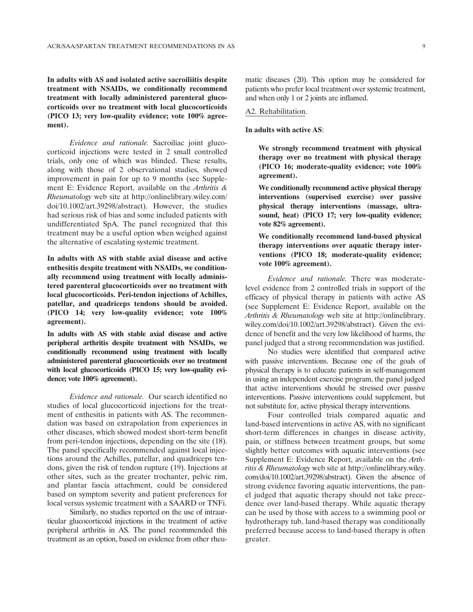In adults with AS and isolated active sacroiliitis despite treatment with NSAIDs, we conditionally recommend treatment with locally administered parenteral glucocorticoids over no treatment with local glucocorticoids (PICO 13; very low-quality evidence; vote 100% agreement).

Evidence and rationale. Sacroiliac joint glucocorticoid injections were tested in 2 small controlled trials, only one of which was blinded. These results, along with those of 2 observational studies, showed improvement in pain for up to 9 months (see Supplement E: Evidence Report, available on the Arthritis & Rheumatology web site at http://onlinelibrary.wiley.com/ doi/10.1002/art.39298/abstract). However, the studies had serious risk of bias and some included patients with undifferentiated SpA. The panel recognized that this treatment may be a useful option when weighed against the alternative of escalating systemic treatment.

In adults with AS with stable axial disease and active enthesitis despite treatment with NSAIDs, we conditionally recommend using treatment with locally administered parenteral glucocorticoids over no treatment with local glucocorticoids. Peri-tendon injections of Achilles, patellar, and quadriceps tendons should be avoided. (PICO 14; very low-quality evidence; vote 100% agreement).

In adults with AS with stable axial disease and active peripheral arthritis despite treatment with NSAIDs, we conditionally recommend using treatment with locally administered parenteral glucocorticoids over no treatment with local glucocorticoids (PICO 15; very low-quality evidence; vote 100% agreement).

Evidence and rationale. Our search identified no studies of local glucocorticoid injections for the treatment of enthesitis in patients with AS. The recommendation was based on extrapolation from experiences in other diseases, which showed modest short-term benefit from peri-tendon injections, depending on the site (18). The panel specifically recommended against local injections around the Achilles, patellar, and quadriceps tendons, given the risk of tendon rupture (19). Injections at other sites, such as the greater trochanter, pelvic rim, and plantar fascia attachment, could be considered based on symptom severity and patient preferences for local versus systemic treatment with a SAARD or TNFi.

Similarly, no studies reported on the use of intraarticular glucocorticoid injections in the treatment of active peripheral arthritis in AS. The panel recommended this treatment as an option, based on evidence from other rheumatic diseases (20). This option may be considered for patients who prefer local treatment over systemic treatment, and when only 1 or 2 joints are inflamed.

#### A2. Rehabilitation.

In adults with active AS:

We strongly recommend treatment with physical therapy over no treatment with physical therapy (PICO 16; moderate-quality evidence; vote 100% agreement).

We conditionally recommend active physical therapy interventions (supervised exercise) over passive physical therapy interventions (massage, ultrasound, heat) (PICO 17; very low-quality evidence; vote 82% agreement).

We conditionally recommend land-based physical therapy interventions over aquatic therapy interventions (PICO 18; moderate-quality evidence; vote 100% agreement).

Evidence and rationale. There was moderatelevel evidence from 2 controlled trials in support of the efficacy of physical therapy in patients with active AS (see Supplement E: Evidence Report, available on the Arthritis & Rheumatology web site at http://onlinelibrary. wiley.com/doi/10.1002/art.39298/abstract). Given the evidence of benefit and the very low likelihood of harms, the panel judged that a strong recommendation was justified.

No studies were identified that compared active with passive interventions. Because one of the goals of physical therapy is to educate patients in self-management in using an independent exercise program, the panel judged that active interventions should be stressed over passive interventions. Passive interventions could supplement, but not substitute for, active physical therapy interventions.

Four controlled trials compared aquatic and land-based interventions in active AS, with no significant short-term differences in changes in disease activity, pain, or stiffness between treatment groups, but some slightly better outcomes with aquatic interventions (see Supplement E: Evidence Report, available on the Arthritis & Rheumatology web site at http://onlinelibrary.wiley. com/doi/10.1002/art.39298/abstract). Given the absence of strong evidence favoring aquatic interventions, the panel judged that aquatic therapy should not take precedence over land-based therapy. While aquatic therapy can be used by those with access to a swimming pool or hydrotherapy tub, land-based therapy was conditionally preferred because access to land-based therapy is often greater.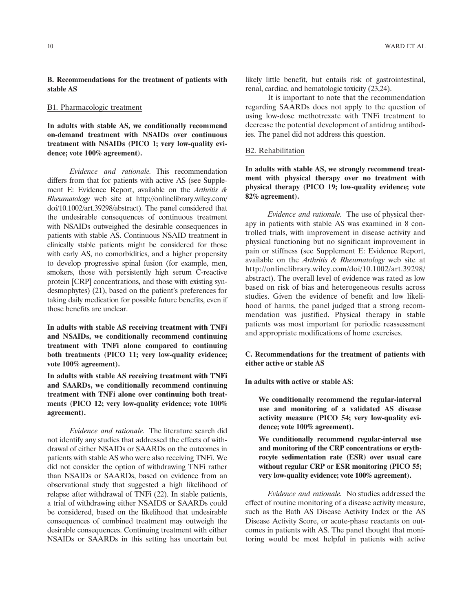B. Recommendations for the treatment of patients with stable AS

#### B1. Pharmacologic treatment

In adults with stable AS, we conditionally recommend on-demand treatment with NSAIDs over continuous treatment with NSAIDs (PICO 1; very low-quality evidence; vote 100% agreement).

Evidence and rationale. This recommendation differs from that for patients with active AS (see Supplement E: Evidence Report, available on the Arthritis & Rheumatology web site at http://onlinelibrary.wiley.com/ doi/10.1002/art.39298/abstract). The panel considered that the undesirable consequences of continuous treatment with NSAIDs outweighed the desirable consequences in patients with stable AS. Continuous NSAID treatment in clinically stable patients might be considered for those with early AS, no comorbidities, and a higher propensity to develop progressive spinal fusion (for example, men, smokers, those with persistently high serum C-reactive protein [CRP] concentrations, and those with existing syndesmophytes) (21), based on the patient's preferences for taking daily medication for possible future benefits, even if those benefits are unclear.

In adults with stable AS receiving treatment with TNFi and NSAIDs, we conditionally recommend continuing treatment with TNFi alone compared to continuing both treatments (PICO 11; very low-quality evidence; vote 100% agreement).

In adults with stable AS receiving treatment with TNFi and SAARDs, we conditionally recommend continuing treatment with TNFi alone over continuing both treatments (PICO 12; very low-quality evidence; vote 100% agreement).

Evidence and rationale. The literature search did not identify any studies that addressed the effects of withdrawal of either NSAIDs or SAARDs on the outcomes in patients with stable AS who were also receiving TNFi. We did not consider the option of withdrawing TNFi rather than NSAIDs or SAARDs, based on evidence from an observational study that suggested a high likelihood of relapse after withdrawal of TNFi (22). In stable patients, a trial of withdrawing either NSAIDS or SAARDs could be considered, based on the likelihood that undesirable consequences of combined treatment may outweigh the desirable consequences. Continuing treatment with either NSAIDs or SAARDs in this setting has uncertain but

likely little benefit, but entails risk of gastrointestinal, renal, cardiac, and hematologic toxicity (23,24).

It is important to note that the recommendation regarding SAARDs does not apply to the question of using low-dose methotrexate with TNFi treatment to decrease the potential development of antidrug antibodies. The panel did not address this question.

#### B2. Rehabilitation

In adults with stable AS, we strongly recommend treatment with physical therapy over no treatment with physical therapy (PICO 19; low-quality evidence; vote 82% agreement).

Evidence and rationale. The use of physical therapy in patients with stable AS was examined in 8 controlled trials, with improvement in disease activity and physical functioning but no significant improvement in pain or stiffness (see Supplement E: Evidence Report, available on the Arthritis & Rheumatology web site at http://onlinelibrary.wiley.com/doi/10.1002/art.39298/ abstract). The overall level of evidence was rated as low based on risk of bias and heterogeneous results across studies. Given the evidence of benefit and low likelihood of harms, the panel judged that a strong recommendation was justified. Physical therapy in stable patients was most important for periodic reassessment and appropriate modifications of home exercises.

## C. Recommendations for the treatment of patients with either active or stable AS

In adults with active or stable AS:

We conditionally recommend the regular-interval use and monitoring of a validated AS disease activity measure (PICO 54; very low-quality evidence; vote 100% agreement).

We conditionally recommend regular-interval use and monitoring of the CRP concentrations or erythrocyte sedimentation rate (ESR) over usual care without regular CRP or ESR monitoring (PICO 55; very low-quality evidence; vote 100% agreement).

Evidence and rationale. No studies addressed the effect of routine monitoring of a disease activity measure, such as the Bath AS Disease Activity Index or the AS Disease Activity Score, or acute-phase reactants on outcomes in patients with AS. The panel thought that monitoring would be most helpful in patients with active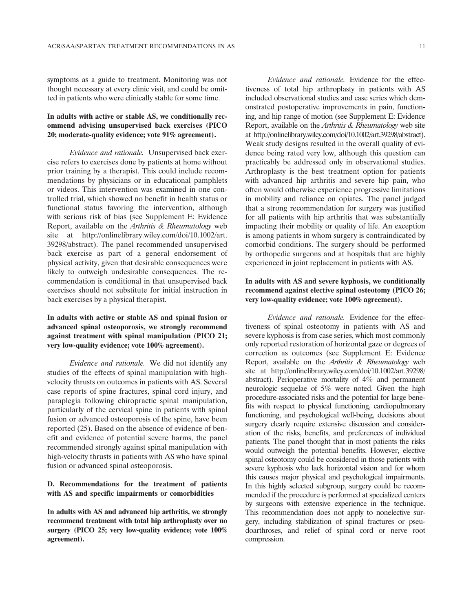symptoms as a guide to treatment. Monitoring was not thought necessary at every clinic visit, and could be omitted in patients who were clinically stable for some time.

# In adults with active or stable AS, we conditionally recommend advising unsupervised back exercises (PICO 20; moderate-quality evidence; vote 91% agreement).

Evidence and rationale. Unsupervised back exercise refers to exercises done by patients at home without prior training by a therapist. This could include recommendations by physicians or in educational pamphlets or videos. This intervention was examined in one controlled trial, which showed no benefit in health status or functional status favoring the intervention, although with serious risk of bias (see Supplement E: Evidence Report, available on the Arthritis & Rheumatology web site at http://onlinelibrary.wiley.com/doi/10.1002/art. 39298/abstract). The panel recommended unsupervised back exercise as part of a general endorsement of physical activity, given that desirable consequences were likely to outweigh undesirable consequences. The recommendation is conditional in that unsupervised back exercises should not substitute for initial instruction in back exercises by a physical therapist.

## In adults with active or stable AS and spinal fusion or advanced spinal osteoporosis, we strongly recommend against treatment with spinal manipulation (PICO 21; very low-quality evidence; vote 100% agreement).

Evidence and rationale. We did not identify any studies of the effects of spinal manipulation with highvelocity thrusts on outcomes in patients with AS. Several case reports of spine fractures, spinal cord injury, and paraplegia following chiropractic spinal manipulation, particularly of the cervical spine in patients with spinal fusion or advanced osteoporosis of the spine, have been reported (25). Based on the absence of evidence of benefit and evidence of potential severe harms, the panel recommended strongly against spinal manipulation with high-velocity thrusts in patients with AS who have spinal fusion or advanced spinal osteoporosis.

## D. Recommendations for the treatment of patients with AS and specific impairments or comorbidities

In adults with AS and advanced hip arthritis, we strongly recommend treatment with total hip arthroplasty over no surgery (PICO 25; very low-quality evidence; vote 100% agreement).

Evidence and rationale. Evidence for the effectiveness of total hip arthroplasty in patients with AS included observational studies and case series which demonstrated postoperative improvements in pain, functioning, and hip range of motion (see Supplement E: Evidence Report, available on the Arthritis & Rheumatology web site at http://onlinelibrary.wiley.com/doi/10.1002/art.39298/abstract). Weak study designs resulted in the overall quality of evidence being rated very low, although this question can practicably be addressed only in observational studies. Arthroplasty is the best treatment option for patients with advanced hip arthritis and severe hip pain, who often would otherwise experience progressive limitations in mobility and reliance on opiates. The panel judged that a strong recommendation for surgery was justified for all patients with hip arthritis that was substantially impacting their mobility or quality of life. An exception is among patients in whom surgery is contraindicated by comorbid conditions. The surgery should be performed by orthopedic surgeons and at hospitals that are highly experienced in joint replacement in patients with AS.

# In adults with AS and severe kyphosis, we conditionally recommend against elective spinal osteotomy (PICO 26; very low-quality evidence; vote 100% agreement).

Evidence and rationale. Evidence for the effectiveness of spinal osteotomy in patients with AS and severe kyphosis is from case series, which most commonly only reported restoration of horizontal gaze or degrees of correction as outcomes (see Supplement E: Evidence Report, available on the Arthritis & Rheumatology web site at http://onlinelibrary.wiley.com/doi/10.1002/art.39298/ abstract). Perioperative mortality of 4% and permanent neurologic sequelae of 5% were noted. Given the high procedure-associated risks and the potential for large benefits with respect to physical functioning, cardiopulmonary functioning, and psychological well-being, decisions about surgery clearly require extensive discussion and consideration of the risks, benefits, and preferences of individual patients. The panel thought that in most patients the risks would outweigh the potential benefits. However, elective spinal osteotomy could be considered in those patients with severe kyphosis who lack horizontal vision and for whom this causes major physical and psychological impairments. In this highly selected subgroup, surgery could be recommended if the procedure is performed at specialized centers by surgeons with extensive experience in the technique. This recommendation does not apply to nonelective surgery, including stabilization of spinal fractures or pseudoarthroses, and relief of spinal cord or nerve root compression.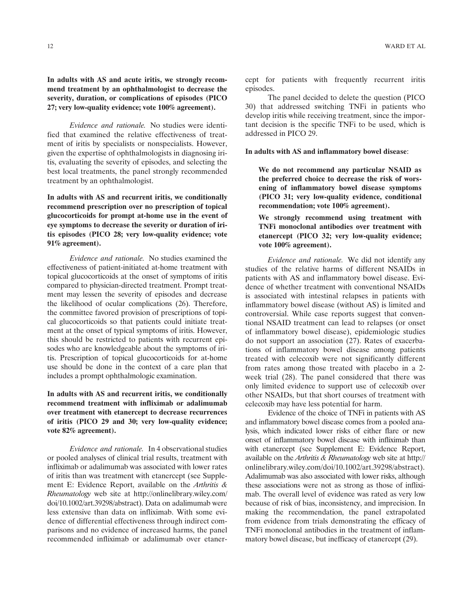In adults with AS and acute iritis, we strongly recommend treatment by an ophthalmologist to decrease the severity, duration, or complications of episodes (PICO 27; very low-quality evidence; vote 100% agreement).

Evidence and rationale. No studies were identified that examined the relative effectiveness of treatment of iritis by specialists or nonspecialists. However, given the expertise of ophthalmologists in diagnosing iritis, evaluating the severity of episodes, and selecting the best local treatments, the panel strongly recommended treatment by an ophthalmologist.

In adults with AS and recurrent iritis, we conditionally recommend prescription over no prescription of topical glucocorticoids for prompt at-home use in the event of eye symptoms to decrease the severity or duration of iritis episodes (PICO 28; very low-quality evidence; vote 91% agreement).

Evidence and rationale. No studies examined the effectiveness of patient-initiated at-home treatment with topical glucocorticoids at the onset of symptoms of iritis compared to physician-directed treatment. Prompt treatment may lessen the severity of episodes and decrease the likelihood of ocular complications (26). Therefore, the committee favored provision of prescriptions of topical glucocorticoids so that patients could initiate treatment at the onset of typical symptoms of iritis. However, this should be restricted to patients with recurrent episodes who are knowledgeable about the symptoms of iritis. Prescription of topical glucocorticoids for at-home use should be done in the context of a care plan that includes a prompt ophthalmologic examination.

In adults with AS and recurrent iritis, we conditionally recommend treatment with infliximab or adalimumab over treatment with etanercept to decrease recurrences of iritis (PICO 29 and 30; very low-quality evidence; vote 82% agreement).

Evidence and rationale. In 4 observational studies or pooled analyses of clinical trial results, treatment with infliximab or adalimumab was associated with lower rates of iritis than was treatment with etanercept (see Supplement E: Evidence Report, available on the Arthritis & Rheumatology web site at http://onlinelibrary.wiley.com/ doi/10.1002/art.39298/abstract). Data on adalimumab were less extensive than data on infliximab. With some evidence of differential effectiveness through indirect comparisons and no evidence of increased harms, the panel recommended infliximab or adalimumab over etanercept for patients with frequently recurrent iritis episodes.

The panel decided to delete the question (PICO 30) that addressed switching TNFi in patients who develop iritis while receiving treatment, since the important decision is the specific TNFi to be used, which is addressed in PICO 29.

## In adults with AS and inflammatory bowel disease:

We do not recommend any particular NSAID as the preferred choice to decrease the risk of worsening of inflammatory bowel disease symptoms (PICO 31; very low-quality evidence, conditional recommendation; vote 100% agreement).

We strongly recommend using treatment with TNFi monoclonal antibodies over treatment with etanercept (PICO 32; very low-quality evidence; vote 100% agreement).

Evidence and rationale. We did not identify any studies of the relative harms of different NSAIDs in patients with AS and inflammatory bowel disease. Evidence of whether treatment with conventional NSAIDs is associated with intestinal relapses in patients with inflammatory bowel disease (without AS) is limited and controversial. While case reports suggest that conventional NSAID treatment can lead to relapses (or onset of inflammatory bowel disease), epidemiologic studies do not support an association (27). Rates of exacerbations of inflammatory bowel disease among patients treated with celecoxib were not significantly different from rates among those treated with placebo in a 2 week trial (28). The panel considered that there was only limited evidence to support use of celecoxib over other NSAIDs, but that short courses of treatment with celecoxib may have less potential for harm.

Evidence of the choice of TNFi in patients with AS and inflammatory bowel disease comes from a pooled analysis, which indicated lower risks of either flare or new onset of inflammatory bowel disease with infliximab than with etanercept (see Supplement E: Evidence Report, available on the Arthritis & Rheumatology web site at http:// onlinelibrary.wiley.com/doi/10.1002/art.39298/abstract). Adalimumab was also associated with lower risks, although these associations were not as strong as those of infliximab. The overall level of evidence was rated as very low because of risk of bias, inconsistency, and imprecision. In making the recommendation, the panel extrapolated from evidence from trials demonstrating the efficacy of TNFi monoclonal antibodies in the treatment of inflammatory bowel disease, but inefficacy of etanercept (29).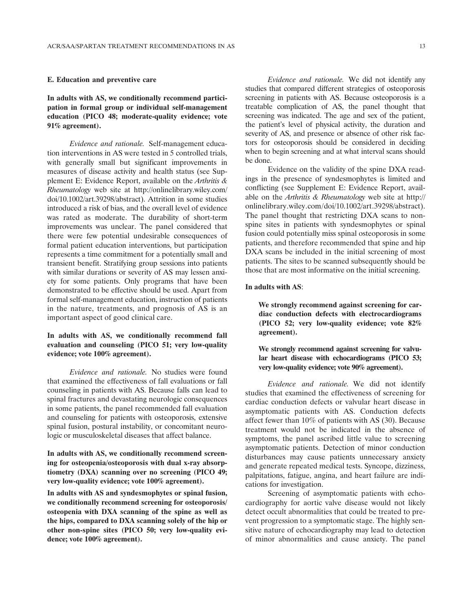#### E. Education and preventive care

In adults with AS, we conditionally recommend participation in formal group or individual self-management education (PICO 48; moderate-quality evidence; vote 91% agreement).

Evidence and rationale. Self-management education interventions in AS were tested in 5 controlled trials, with generally small but significant improvements in measures of disease activity and health status (see Supplement E: Evidence Report, available on the Arthritis & Rheumatology web site at http://onlinelibrary.wiley.com/ doi/10.1002/art.39298/abstract). Attrition in some studies introduced a risk of bias, and the overall level of evidence was rated as moderate. The durability of short-term improvements was unclear. The panel considered that there were few potential undesirable consequences of formal patient education interventions, but participation represents a time commitment for a potentially small and transient benefit. Stratifying group sessions into patients with similar durations or severity of AS may lessen anxiety for some patients. Only programs that have been demonstrated to be effective should be used. Apart from formal self-management education, instruction of patients in the nature, treatments, and prognosis of AS is an important aspect of good clinical care.

# In adults with AS, we conditionally recommend fall evaluation and counseling (PICO 51; very low-quality evidence; vote 100% agreement).

Evidence and rationale. No studies were found that examined the effectiveness of fall evaluations or fall counseling in patients with AS. Because falls can lead to spinal fractures and devastating neurologic consequences in some patients, the panel recommended fall evaluation and counseling for patients with osteoporosis, extensive spinal fusion, postural instability, or concomitant neurologic or musculoskeletal diseases that affect balance.

# In adults with AS, we conditionally recommend screening for osteopenia/osteoporosis with dual x-ray absorptiometry (DXA) scanning over no screening (PICO 49; very low-quality evidence; vote 100% agreement).

In adults with AS and syndesmophytes or spinal fusion, we conditionally recommend screening for osteoporosis/ osteopenia with DXA scanning of the spine as well as the hips, compared to DXA scanning solely of the hip or other non-spine sites (PICO 50; very low-quality evidence; vote 100% agreement).

Evidence and rationale. We did not identify any studies that compared different strategies of osteoporosis screening in patients with AS. Because osteoporosis is a treatable complication of AS, the panel thought that screening was indicated. The age and sex of the patient, the patient's level of physical activity, the duration and severity of AS, and presence or absence of other risk factors for osteoporosis should be considered in deciding when to begin screening and at what interval scans should be done.

Evidence on the validity of the spine DXA readings in the presence of syndesmophytes is limited and conflicting (see Supplement E: Evidence Report, available on the Arthritis & Rheumatology web site at http:// onlinelibrary.wiley.com/doi/10.1002/art.39298/abstract). The panel thought that restricting DXA scans to nonspine sites in patients with syndesmophytes or spinal fusion could potentially miss spinal osteoporosis in some patients, and therefore recommended that spine and hip DXA scans be included in the initial screening of most patients. The sites to be scanned subsequently should be those that are most informative on the initial screening.

#### In adults with AS:

We strongly recommend against screening for cardiac conduction defects with electrocardiograms (PICO 52; very low-quality evidence; vote 82% agreement).

# We strongly recommend against screening for valvular heart disease with echocardiograms (PICO 53; very low-quality evidence; vote 90% agreement).

Evidence and rationale. We did not identify studies that examined the effectiveness of screening for cardiac conduction defects or valvular heart disease in asymptomatic patients with AS. Conduction defects affect fewer than 10% of patients with AS (30). Because treatment would not be indicated in the absence of symptoms, the panel ascribed little value to screening asymptomatic patients. Detection of minor conduction disturbances may cause patients unnecessary anxiety and generate repeated medical tests. Syncope, dizziness, palpitations, fatigue, angina, and heart failure are indications for investigation.

Screening of asymptomatic patients with echocardiography for aortic valve disease would not likely detect occult abnormalities that could be treated to prevent progression to a symptomatic stage. The highly sensitive nature of echocardiography may lead to detection of minor abnormalities and cause anxiety. The panel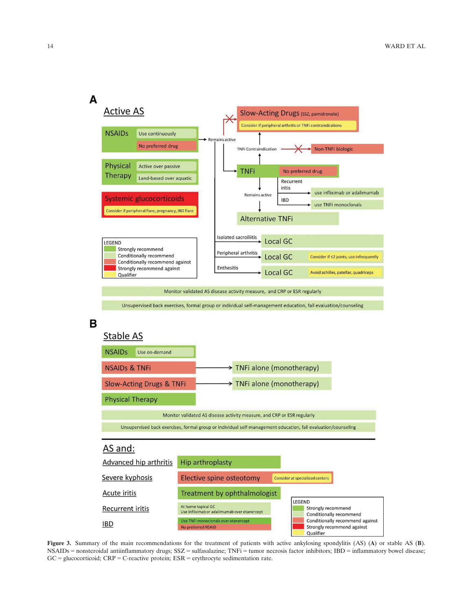





Figure 3. Summary of the main recommendations for the treatment of patients with active ankylosing spondylitis (AS) (A) or stable AS (B). NSAIDs = nonsteroidal antiinflammatory drugs; SSZ = sulfasalazine; TNFi = tumor necrosis factor inhibitors; IBD = inflammatory bowel disease;  $GC =$  glucocorticoid;  $CRP = C$ -reactive protein;  $ESR =$  erythrocyte sedimentation rate.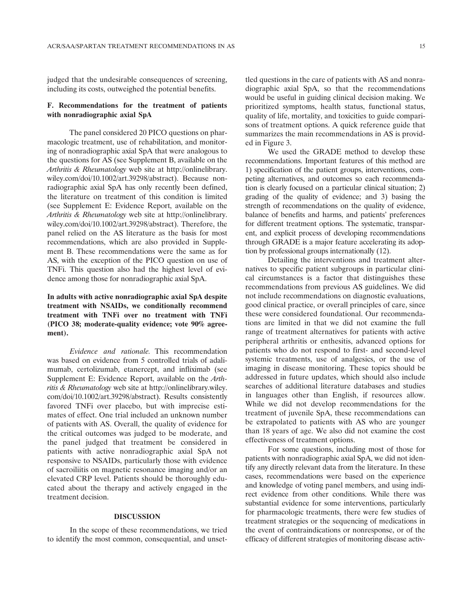judged that the undesirable consequences of screening, including its costs, outweighed the potential benefits.

## F. Recommendations for the treatment of patients with nonradiographic axial SpA

The panel considered 20 PICO questions on pharmacologic treatment, use of rehabilitation, and monitoring of nonradiographic axial SpA that were analogous to the questions for AS (see Supplement B, available on the Arthritis & Rheumatology web site at http://onlinelibrary. wiley.com/doi/10.1002/art.39298/abstract). Because nonradiographic axial SpA has only recently been defined, the literature on treatment of this condition is limited (see Supplement E: Evidence Report, available on the Arthritis & Rheumatology web site at http://onlinelibrary. wiley.com/doi/10.1002/art.39298/abstract). Therefore, the panel relied on the AS literature as the basis for most recommendations, which are also provided in Supplement B. These recommendations were the same as for AS, with the exception of the PICO question on use of TNFi. This question also had the highest level of evidence among those for nonradiographic axial SpA.

# In adults with active nonradiographic axial SpA despite treatment with NSAIDs, we conditionally recommend treatment with TNFi over no treatment with TNFi (PICO 38; moderate-quality evidence; vote 90% agreement).

Evidence and rationale. This recommendation was based on evidence from 5 controlled trials of adalimumab, certolizumab, etanercept, and infliximab (see Supplement E: Evidence Report, available on the Arthritis & Rheumatology web site at http://onlinelibrary.wiley. com/doi/10.1002/art.39298/abstract). Results consistently favored TNFi over placebo, but with imprecise estimates of effect. One trial included an unknown number of patients with AS. Overall, the quality of evidence for the critical outcomes was judged to be moderate, and the panel judged that treatment be considered in patients with active nonradiographic axial SpA not responsive to NSAIDs, particularly those with evidence of sacroiliitis on magnetic resonance imaging and/or an elevated CRP level. Patients should be thoroughly educated about the therapy and actively engaged in the treatment decision.

#### DISCUSSION

In the scope of these recommendations, we tried to identify the most common, consequential, and unsettled questions in the care of patients with AS and nonradiographic axial SpA, so that the recommendations would be useful in guiding clinical decision making. We prioritized symptoms, health status, functional status, quality of life, mortality, and toxicities to guide comparisons of treatment options. A quick reference guide that summarizes the main recommendations in AS is provided in Figure 3.

We used the GRADE method to develop these recommendations. Important features of this method are 1) specification of the patient groups, interventions, competing alternatives, and outcomes so each recommendation is clearly focused on a particular clinical situation; 2) grading of the quality of evidence; and 3) basing the strength of recommendations on the quality of evidence, balance of benefits and harms, and patients' preferences for different treatment options. The systematic, transparent, and explicit process of developing recommendations through GRADE is a major feature accelerating its adoption by professional groups internationally (12).

Detailing the interventions and treatment alternatives to specific patient subgroups in particular clinical circumstances is a factor that distinguishes these recommendations from previous AS guidelines. We did not include recommendations on diagnostic evaluations, good clinical practice, or overall principles of care, since these were considered foundational. Our recommendations are limited in that we did not examine the full range of treatment alternatives for patients with active peripheral arthritis or enthesitis, advanced options for patients who do not respond to first- and second-level systemic treatments, use of analgesics, or the use of imaging in disease monitoring. These topics should be addressed in future updates, which should also include searches of additional literature databases and studies in languages other than English, if resources allow. While we did not develop recommendations for the treatment of juvenile SpA, these recommendations can be extrapolated to patients with AS who are younger than 18 years of age. We also did not examine the cost effectiveness of treatment options.

For some questions, including most of those for patients with nonradiographic axial SpA, we did not identify any directly relevant data from the literature. In these cases, recommendations were based on the experience and knowledge of voting panel members, and using indirect evidence from other conditions. While there was substantial evidence for some interventions, particularly for pharmacologic treatments, there were few studies of treatment strategies or the sequencing of medications in the event of contraindications or nonresponse, or of the efficacy of different strategies of monitoring disease activ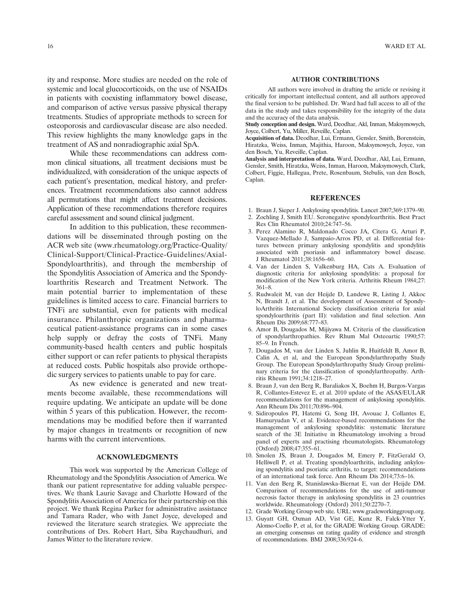ity and response. More studies are needed on the role of systemic and local glucocorticoids, on the use of NSAIDs in patients with coexisting inflammatory bowel disease, and comparison of active versus passive physical therapy treatments. Studies of appropriate methods to screen for osteoporosis and cardiovascular disease are also needed. This review highlights the many knowledge gaps in the treatment of AS and nonradiographic axial SpA.

While these recommendations can address common clinical situations, all treatment decisions must be individualized, with consideration of the unique aspects of each patient's presentation, medical history, and preferences. Treatment recommendations also cannot address all permutations that might affect treatment decisions. Application of these recommendations therefore requires careful assessment and sound clinical judgment.

In addition to this publication, these recommendations will be disseminated through posting on the ACR web site (www.rheumatology.org/Practice-Quality/ Clinical-Support/Clinical-Practice-Guidelines/Axial-Spondyloarthritis), and through the membership of the Spondylitis Association of America and the Spondyloarthritis Research and Treatment Network. The main potential barrier to implementation of these guidelines is limited access to care. Financial barriers to TNFi are substantial, even for patients with medical insurance. Philanthropic organizations and pharmaceutical patient-assistance programs can in some cases help supply or defray the costs of TNFi. Many community-based health centers and public hospitals either support or can refer patients to physical therapists at reduced costs. Public hospitals also provide orthopedic surgery services to patients unable to pay for care.

As new evidence is generated and new treatments become available, these recommendations will require updating. We anticipate an update will be done within 5 years of this publication. However, the recommendations may be modified before then if warranted by major changes in treatments or recognition of new harms with the current interventions.

#### ACKNOWLEDGMENTS

This work was supported by the American College of Rheumatology and the Spondylitis Association of America. We thank our patient representative for adding valuable perspectives. We thank Laurie Savage and Charlotte Howard of the Spondylitis Association of America for their partnership on this project. We thank Regina Parker for administrative assistance and Tamara Rader, who with Janet Joyce, developed and reviewed the literature search strategies. We appreciate the contributions of Drs. Robert Hart, Siba Raychaudhuri, and James Witter to the literature review.

#### AUTHOR CONTRIBUTIONS

All authors were involved in drafting the article or revising it critically for important intellectual content, and all authors approved the final version to be published. Dr. Ward had full access to all of the data in the study and takes responsibility for the integrity of the data and the accuracy of the data analysis.

Study conception and design. Ward, Deodhar, Akl, Inman, Maksymowych, Joyce, Colbert, Yu, Miller, Reveille, Caplan.

Acquisition of data. Deodhar, Lui, Ermann, Gensler, Smith, Borenstein, Hiratzka, Weiss, Inman, Majithia, Haroon, Maksymowych, Joyce, van den Bosch, Yu, Reveille, Caplan.

Analysis and interpretation of data. Ward, Deodhar, Akl, Lui, Ermann, Gensler, Smith, Hiratzka, Weiss, Inman, Haroon, Maksymowych, Clark, Colbert, Figgie, Hallegua, Prete, Rosenbaum, Stebulis, van den Bosch, Caplan.

#### **REFERENCES**

- 1. Braun J, Sieper J. Ankylosing spondylitis. Lancet 2007;369:1379–90.
- 2. Zochling J, Smith EU. Seronegative spondyloarthritis. Best Pract Res Clin Rheumatol 2010;24:747–56.
- 3. Perez Alamino R, Maldonado Cocco JA, Citera G, Arturi P, Vazquez-Mellado J, Sampaio-Arros PD, et al. Differential features between primary ankylosing spondylitis and spondylitis associated with psoriasis and inflammatory bowel disease. J Rheumatol 2011;38:1656–60.
- 4. Van der Linden S, Valkenburg HA, Cats A. Evaluation of diagnostic criteria for ankylosing spondylitis: a proposal for modification of the New York criteria. Arthritis Rheum 1984;27: 361–8.
- 5. Rudwaleit M, van der Heijde D, Landewe R, Listing J, Akkoc N, Brandt J, et al. The development of Assessment of SpondyloArthritis International Society classification criteria for axial spondyloarthritis (part II): validation and final selection. Ann Rheum Dis 2009;68:777–83.
- 6. Amor B, Dougados M, Mijiyawa M. Criteria of the classification of spondylarthropathies. Rev Rhum Mal Osteoartic 1990;57: 85–9. In French.
- 7. Dougados M, van der Linden S, Juhlin R, Huitfeldt B, Amor B, Calin A, et al, and the European Spondylarthropathy Study Group. The European Spondylarthropathy Study Group preliminary criteria for the classification of spondylarthropathy. Arthritis Rheum 1991;34:1218–27.
- 8. Braun J, van den Berg R, Baraliakos X, Boehm H, Burgos-Vargas R, Collantes-Estevez E, et al. 2010 update of the ASAS/EULAR recommendations for the management of ankylosing spondylitis. Ann Rheum Dis 2011;70:896–904.
- 9. Sidiropoulos PI, Hatemi G, Song IH, Avouac J, Collantes E, Hamuryudan V, et al. Evidence-based recommendations for the management of ankylosing spondylitis: systematic literature search of the 3E Initiative in Rheumatology involving a broad panel of experts and practising rheumatologists. Rheumatology (Oxford) 2008;47:355–61.
- 10. Smolen JS, Braun J, Dougados M, Emery P, FitzGerald O, Helliwell P, et al. Treating spondyloarthritis, including ankylosing spondylitis and psoriatic arthritis, to target: recommendations of an international task force. Ann Rheum Dis 2014;73:6–16.
- 11. Van den Berg R, Stanislawska-Biernat E, van der Heijde DM. Comparison of recommendations for the use of anti-tumour necrosis factor therapy in ankylosing spondylitis in 23 countries worldwide. Rheumatology (Oxford) 2011;50:2270–7.
- 12. Grade Working Group web site. URL: www.gradeworkinggroup.org.
- 13. Guyatt GH, Oxman AD, Vist GE, Kunz R, Falck-Ytter Y, Alonso-Coello P, et al, for the GRADE Working Group. GRADE: an emerging consensus on rating quality of evidence and strength of recommendations. BMJ 2008;336:924–6.